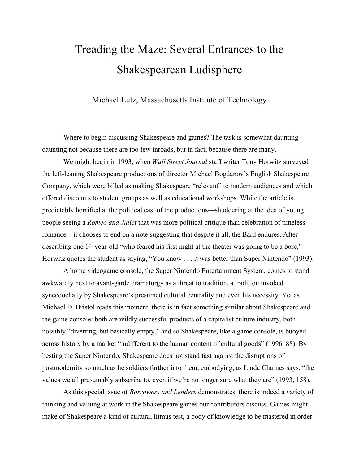# Treading the Maze: Several Entrances to the Shakespearean Ludisphere

Michael Lutz, Massachusetts Institute of Technology

Where to begin discussing Shakespeare and games? The task is somewhat daunting daunting not because there are too few inroads, but in fact, because there are many.

 We might begin in 1993, when *Wall Street Journal* staff writer Tony Horwitz surveyed the left-leaning Shakespeare productions of director Michael Bogdanov's English Shakespeare Company, which were billed as making Shakespeare "relevant" to modern audiences and which offered discounts to student groups as well as educational workshops. While the article is predictably horrified at the political cast of the productions—shuddering at the idea of young people seeing a *Romeo and Juliet* that was more political critique than celebration of timeless romance—it chooses to end on a note suggesting that despite it all, the Bard endures. After describing one 14-year-old "who feared his first night at the theater was going to be a bore," Horwitz quotes the student as saying, "You know . . . it was better than Super Nintendo" (1993).

 A home videogame console, the Super Nintendo Entertainment System, comes to stand awkwardly next to avant-garde dramaturgy as a threat to tradition, a tradition invoked synecdochally by Shakespeare's presumed cultural centrality and even his necessity. Yet as Michael D. Bristol reads this moment, there is in fact something similar about Shakespeare and the game console: both are wildly successful products of a capitalist culture industry, both possibly "diverting, but basically empty," and so Shakespeare, like a game console, is buoyed across history by a market "indifferent to the human content of cultural goods" (1996, 88). By besting the Super Nintendo, Shakespeare does not stand fast against the disruptions of postmodernity so much as he soldiers further into them, embodying, as Linda Charnes says, "the values we all presumably subscribe to, even if we're no longer sure what they are" (1993, 158).

 As this special issue of *Borrowers and Lenders* demonstrates, there is indeed a variety of thinking and valuing at work in the Shakespeare games our contributors discuss. Games might make of Shakespeare a kind of cultural litmus test, a body of knowledge to be mastered in order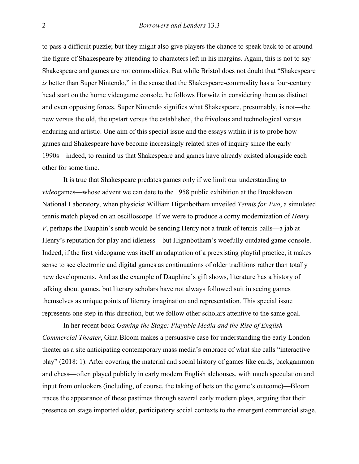to pass a difficult puzzle; but they might also give players the chance to speak back to or around the figure of Shakespeare by attending to characters left in his margins. Again, this is not to say Shakespeare and games are not commodities. But while Bristol does not doubt that "Shakespeare *is* better than Super Nintendo," in the sense that the Shakespeare-commodity has a four-century head start on the home videogame console, he follows Horwitz in considering them as distinct and even opposing forces. Super Nintendo signifies what Shakespeare, presumably, is not—the new versus the old, the upstart versus the established, the frivolous and technological versus enduring and artistic. One aim of this special issue and the essays within it is to probe how games and Shakespeare have become increasingly related sites of inquiry since the early 1990s—indeed, to remind us that Shakespeare and games have already existed alongside each other for some time.

It is true that Shakespeare predates games only if we limit our understanding to *video*games—whose advent we can date to the 1958 public exhibition at the Brookhaven National Laboratory, when physicist William Higanbotham unveiled *Tennis for Two*, a simulated tennis match played on an oscilloscope. If we were to produce a corny modernization of *Henry V*, perhaps the Dauphin's snub would be sending Henry not a trunk of tennis balls—a jab at Henry's reputation for play and idleness—but Higanbotham's woefully outdated game console. Indeed, if the first videogame was itself an adaptation of a preexisting playful practice, it makes sense to see electronic and digital games as continuations of older traditions rather than totally new developments. And as the example of Dauphine's gift shows, literature has a history of talking about games, but literary scholars have not always followed suit in seeing games themselves as unique points of literary imagination and representation. This special issue represents one step in this direction, but we follow other scholars attentive to the same goal.

 In her recent book *Gaming the Stage: Playable Media and the Rise of English Commercial Theater*, Gina Bloom makes a persuasive case for understanding the early London theater as a site anticipating contemporary mass media's embrace of what she calls "interactive play" (2018: 1). After covering the material and social history of games like cards, backgammon and chess—often played publicly in early modern English alehouses, with much speculation and input from onlookers (including, of course, the taking of bets on the game's outcome)—Bloom traces the appearance of these pastimes through several early modern plays, arguing that their presence on stage imported older, participatory social contexts to the emergent commercial stage,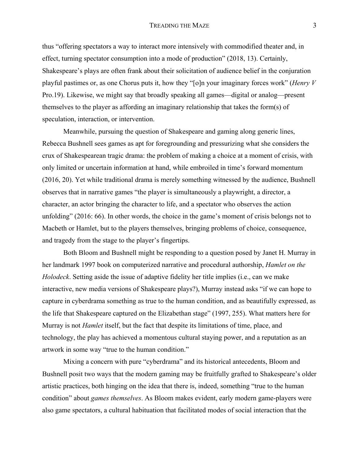#### TREADING THE MAZE 3

thus "offering spectators a way to interact more intensively with commodified theater and, in effect, turning spectator consumption into a mode of production" (2018, 13). Certainly, Shakespeare's plays are often frank about their solicitation of audience belief in the conjuration playful pastimes or, as one Chorus puts it, how they "[o]n your imaginary forces work" (*Henry V*  Pro.19). Likewise, we might say that broadly speaking all games—digital or analog—present themselves to the player as affording an imaginary relationship that takes the form(s) of speculation, interaction, or intervention.

Meanwhile, pursuing the question of Shakespeare and gaming along generic lines, Rebecca Bushnell sees games as apt for foregrounding and pressurizing what she considers the crux of Shakespearean tragic drama: the problem of making a choice at a moment of crisis, with only limited or uncertain information at hand, while embroiled in time's forward momentum (2016, 20). Yet while traditional drama is merely something witnessed by the audience, Bushnell observes that in narrative games "the player is simultaneously a playwright, a director, a character, an actor bringing the character to life, and a spectator who observes the action unfolding" (2016: 66). In other words, the choice in the game's moment of crisis belongs not to Macbeth or Hamlet, but to the players themselves, bringing problems of choice, consequence, and tragedy from the stage to the player's fingertips.

 Both Bloom and Bushnell might be responding to a question posed by Janet H. Murray in her landmark 1997 book on computerized narrative and procedural authorship, *Hamlet on the Holodeck*. Setting aside the issue of adaptive fidelity her title implies (i.e., can we make interactive, new media versions of Shakespeare plays?), Murray instead asks "if we can hope to capture in cyberdrama something as true to the human condition, and as beautifully expressed, as the life that Shakespeare captured on the Elizabethan stage" (1997, 255). What matters here for Murray is not *Hamlet* itself, but the fact that despite its limitations of time, place, and technology, the play has achieved a momentous cultural staying power, and a reputation as an artwork in some way "true to the human condition."

 Mixing a concern with pure "cyberdrama" and its historical antecedents, Bloom and Bushnell posit two ways that the modern gaming may be fruitfully grafted to Shakespeare's older artistic practices, both hinging on the idea that there is, indeed, something "true to the human condition" about *games themselves*. As Bloom makes evident, early modern game-players were also game spectators, a cultural habituation that facilitated modes of social interaction that the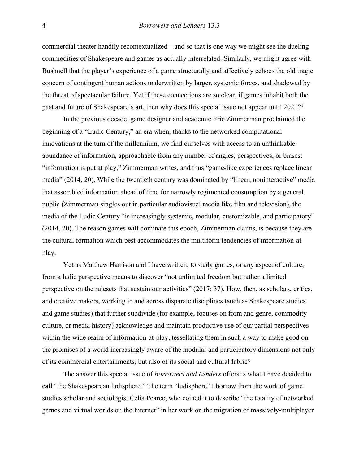commercial theater handily recontextualized—and so that is one way we might see the dueling commodities of Shakespeare and games as actually interrelated. Similarly, we might agree with Bushnell that the player's experience of a game structurally and affectively echoes the old tragic concern of contingent human actions underwritten by larger, systemic forces, and shadowed by the threat of spectacular failure. Yet if these connections are so clear, if games inhabit both the past and future of Shakespeare's art, then why does this special issue not appear until 202[1](#page-8-0)?<sup>1</sup>

In the previous decade, game designer and academic Eric Zimmerman proclaimed the beginning of a "Ludic Century," an era when, thanks to the networked computational innovations at the turn of the millennium, we find ourselves with access to an unthinkable abundance of information, approachable from any number of angles, perspectives, or biases: "information is put at play," Zimmerman writes, and thus "game-like experiences replace linear media" (2014, 20). While the twentieth century was dominated by "linear, noninteractive" media that assembled information ahead of time for narrowly regimented consumption by a general public (Zimmerman singles out in particular audiovisual media like film and television), the media of the Ludic Century "is increasingly systemic, modular, customizable, and participatory" (2014, 20). The reason games will dominate this epoch, Zimmerman claims, is because they are the cultural formation which best accommodates the multiform tendencies of information-atplay.

Yet as Matthew Harrison and I have written, to study games, or any aspect of culture, from a ludic perspective means to discover "not unlimited freedom but rather a limited perspective on the rulesets that sustain our activities" (2017: 37). How, then, as scholars, critics, and creative makers, working in and across disparate disciplines (such as Shakespeare studies and game studies) that further subdivide (for example, focuses on form and genre, commodity culture, or media history) acknowledge and maintain productive use of our partial perspectives within the wide realm of information-at-play, tessellating them in such a way to make good on the promises of a world increasingly aware of the modular and participatory dimensions not only of its commercial entertainments, but also of its social and cultural fabric?

The answer this special issue of *Borrowers and Lenders* offers is what I have decided to call "the Shakespearean ludisphere." The term "ludisphere" I borrow from the work of game studies scholar and sociologist Celia Pearce, who coined it to describe "the totality of networked games and virtual worlds on the Internet" in her work on the migration of massively-multiplayer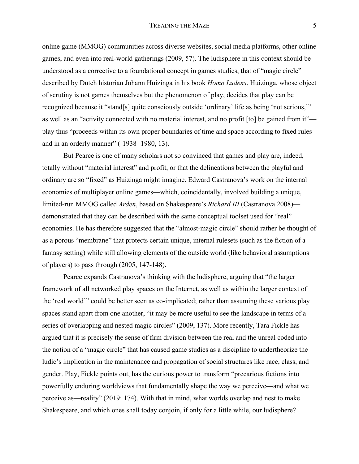online game (MMOG) communities across diverse websites, social media platforms, other online games, and even into real-world gatherings (2009, 57). The ludisphere in this context should be understood as a corrective to a foundational concept in games studies, that of "magic circle" described by Dutch historian Johann Huizinga in his book *Homo Ludens*. Huizinga, whose object of scrutiny is not games themselves but the phenomenon of play, decides that play can be recognized because it "stand[s] quite consciously outside 'ordinary' life as being 'not serious,'" as well as an "activity connected with no material interest, and no profit [to] be gained from it" play thus "proceeds within its own proper boundaries of time and space according to fixed rules and in an orderly manner" ([1938] 1980, 13).

But Pearce is one of many scholars not so convinced that games and play are, indeed, totally without "material interest" and profit, or that the delineations between the playful and ordinary are so "fixed" as Huizinga might imagine. Edward Castranova's work on the internal economies of multiplayer online games—which, coincidentally, involved building a unique, limited-run MMOG called *Arden*, based on Shakespeare's *Richard III* (Castranova 2008) demonstrated that they can be described with the same conceptual toolset used for "real" economies. He has therefore suggested that the "almost-magic circle" should rather be thought of as a porous "membrane" that protects certain unique, internal rulesets (such as the fiction of a fantasy setting) while still allowing elements of the outside world (like behavioral assumptions of players) to pass through (2005, 147-148).

 Pearce expands Castranova's thinking with the ludisphere, arguing that "the larger framework of all networked play spaces on the Internet, as well as within the larger context of the 'real world'" could be better seen as co-implicated; rather than assuming these various play spaces stand apart from one another, "it may be more useful to see the landscape in terms of a series of overlapping and nested magic circles" (2009, 137). More recently, Tara Fickle has argued that it is precisely the sense of firm division between the real and the unreal coded into the notion of a "magic circle" that has caused game studies as a discipline to undertheorize the ludic's implication in the maintenance and propagation of social structures like race, class, and gender. Play, Fickle points out, has the curious power to transform "precarious fictions into powerfully enduring worldviews that fundamentally shape the way we perceive—and what we perceive as—reality" (2019: 174). With that in mind, what worlds overlap and nest to make Shakespeare, and which ones shall today conjoin, if only for a little while, our ludisphere?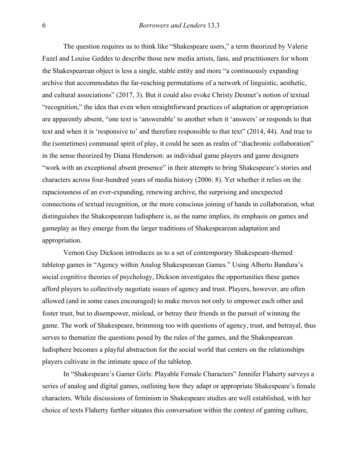The question requires us to think like "Shakespeare users," a term theorized by Valerie Fazel and Louise Geddes to describe those new media artists, fans, and practitioners for whom the Shakespearean object is less a single, stable entity and more "a continuously expanding archive that accommodates the far-reaching permutations of a network of linguistic, aesthetic, and cultural associations" (2017, 3). But it could also evoke Christy Desmet's notion of textual "recognition," the idea that even when straightforward practices of adaptation or appropriation are apparently absent, "one text is 'answerable' to another when it 'answers' or responds to that text and when it is 'responsive to' and therefore responsible to that text" (2014, 44). And true to the (sometimes) communal spirit of play, it could be seen as realm of "diachronic collaboration" in the sense theorized by Diana Henderson: as individual game players and game designers "work with an exceptional absent presence" in their attempts to bring Shakespeare's stories and characters across four-hundred years of media history (2006: 8). Yet whether it relies on the rapaciousness of an ever-expanding, renewing archive, the surprising and unexpected connections of textual recognition, or the more conscious joining of hands in collaboration, what distinguishes the Shakespearean ludisphere is, as the name implies, its emphasis on games and gameplay as they emerge from the larger traditions of Shakespearean adaptation and appropriation.

Vernon Guy Dickson introduces us to a set of contemporary Shakespeare-themed tabletop games in "Agency within Analog Shakespearean Games." Using Alberto Bandura's social cognitive theories of psychology, Dickson investigates the opportunities these games afford players to collectively negotiate issues of agency and trust. Players, however, are often allowed (and in some cases encouraged) to make moves not only to empower each other and foster trust, but to disempower, mislead, or betray their friends in the pursuit of winning the game. The work of Shakespeare, brimming too with questions of agency, trust, and betrayal, thus serves to thematize the questions posed by the rules of the games, and the Shakespearean ludisphere becomes a playful abstraction for the social world that centers on the relationships players cultivate in the intimate space of the tabletop.

In "Shakespeare's Gamer Girls: Playable Female Characters" Jennifer Flaherty surveys a series of analog and digital games, outlining how they adapt or appropriate Shakespeare's female characters. While discussions of feminism in Shakespeare studies are well established, with her choice of texts Flaherty further situates this conversation within the context of gaming culture,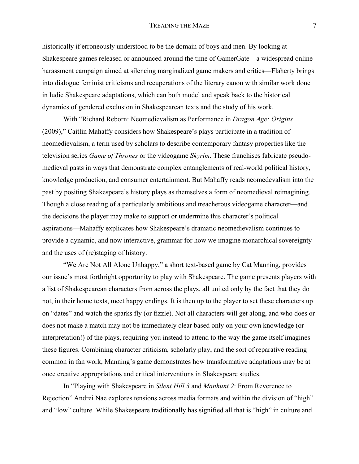#### TREADING THE MAZE 7

historically if erroneously understood to be the domain of boys and men. By looking at Shakespeare games released or announced around the time of GamerGate—a widespread online harassment campaign aimed at silencing marginalized game makers and critics—Flaherty brings into dialogue feminist criticisms and recuperations of the literary canon with similar work done in ludic Shakespeare adaptations, which can both model and speak back to the historical dynamics of gendered exclusion in Shakespearean texts and the study of his work.

With "Richard Reborn: Neomedievalism as Performance in *Dragon Age: Origins* (2009)," Caitlin Mahaffy considers how Shakespeare's plays participate in a tradition of neomedievalism, a term used by scholars to describe contemporary fantasy properties like the television series *Game of Thrones* or the videogame *Skyrim*. These franchises fabricate pseudomedieval pasts in ways that demonstrate complex entanglements of real-world political history, knowledge production, and consumer entertainment. But Mahaffy reads neomedevalism into the past by positing Shakespeare's history plays as themselves a form of neomedieval reimagining. Though a close reading of a particularly ambitious and treacherous videogame character—and the decisions the player may make to support or undermine this character's political aspirations—Mahaffy explicates how Shakespeare's dramatic neomedievalism continues to provide a dynamic, and now interactive, grammar for how we imagine monarchical sovereignty and the uses of (re)staging of history.

 "We Are Not All Alone Unhappy," a short text-based game by Cat Manning, provides our issue's most forthright opportunity to play with Shakespeare. The game presents players with a list of Shakespearean characters from across the plays, all united only by the fact that they do not, in their home texts, meet happy endings. It is then up to the player to set these characters up on "dates" and watch the sparks fly (or fizzle). Not all characters will get along, and who does or does not make a match may not be immediately clear based only on your own knowledge (or interpretation!) of the plays, requiring you instead to attend to the way the game itself imagines these figures. Combining character criticism, scholarly play, and the sort of reparative reading common in fan work, Manning's game demonstrates how transformative adaptations may be at once creative appropriations and critical interventions in Shakespeare studies.

 In "Playing with Shakespeare in *Silent Hill 3* and *Manhunt 2*: From Reverence to Rejection" Andrei Nae explores tensions across media formats and within the division of "high" and "low" culture. While Shakespeare traditionally has signified all that is "high" in culture and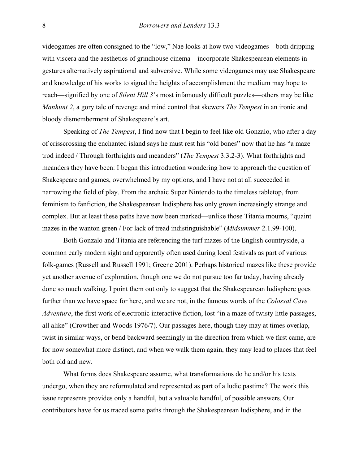videogames are often consigned to the "low," Nae looks at how two videogames—both dripping with viscera and the aesthetics of grindhouse cinema—incorporate Shakespearean elements in gestures alternatively aspirational and subversive. While some videogames may use Shakespeare and knowledge of his works to signal the heights of accomplishment the medium may hope to reach—signified by one of *Silent Hill 3*'s most infamously difficult puzzles—others may be like *Manhunt 2*, a gory tale of revenge and mind control that skewers *The Tempest* in an ironic and bloody dismemberment of Shakespeare's art.

 Speaking of *The Tempest*, I find now that I begin to feel like old Gonzalo, who after a day of crisscrossing the enchanted island says he must rest his "old bones" now that he has "a maze trod indeed / Through forthrights and meanders" (*The Tempest* 3.3.2-3). What forthrights and meanders they have been: I began this introduction wondering how to approach the question of Shakespeare and games, overwhelmed by my options, and I have not at all succeeded in narrowing the field of play. From the archaic Super Nintendo to the timeless tabletop, from feminism to fanfiction, the Shakespearean ludisphere has only grown increasingly strange and complex. But at least these paths have now been marked—unlike those Titania mourns, "quaint mazes in the wanton green / For lack of tread indistinguishable" (*Midsummer* 2.1.99-100).

 Both Gonzalo and Titania are referencing the turf mazes of the English countryside, a common early modern sight and apparently often used during local festivals as part of various folk-games (Russell and Russell 1991; Greene 2001). Perhaps historical mazes like these provide yet another avenue of exploration, though one we do not pursue too far today, having already done so much walking. I point them out only to suggest that the Shakespearean ludisphere goes further than we have space for here, and we are not, in the famous words of the *Colossal Cave Adventure*, the first work of electronic interactive fiction, lost "in a maze of twisty little passages, all alike" (Crowther and Woods 1976/7). Our passages here, though they may at times overlap, twist in similar ways, or bend backward seemingly in the direction from which we first came, are for now somewhat more distinct, and when we walk them again, they may lead to places that feel both old and new.

What forms does Shakespeare assume, what transformations do he and/or his texts undergo, when they are reformulated and represented as part of a ludic pastime? The work this issue represents provides only a handful, but a valuable handful, of possible answers. Our contributors have for us traced some paths through the Shakespearean ludisphere, and in the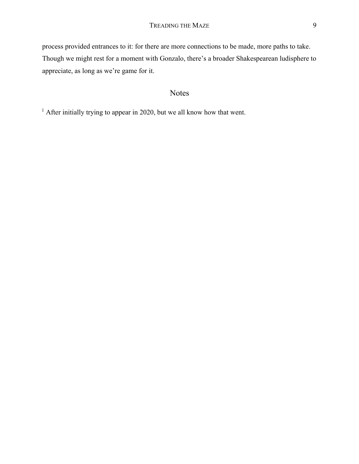process provided entrances to it: for there are more connections to be made, more paths to take. Though we might rest for a moment with Gonzalo, there's a broader Shakespearean ludisphere to appreciate, as long as we're game for it.

## Notes

<span id="page-8-0"></span><sup>1</sup> After initially trying to appear in 2020, but we all know how that went.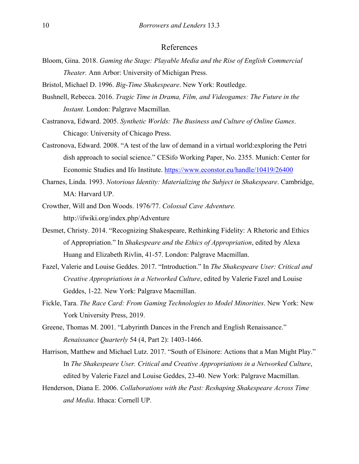### References

- Bloom, Gina. 2018. *Gaming the Stage: Playable Media and the Rise of English Commercial Theater.* Ann Arbor: University of Michigan Press.
- Bristol, Michael D. 1996. *Big-Time Shakespeare*. New York: Routledge.
- Bushnell, Rebecca. 2016. *Tragic Time in Drama, Film, and Videogames: The Future in the Instant.* London: Palgrave Macmillan.
- Castranova, Edward. 2005. *Synthetic Worlds: The Business and Culture of Online Games*. Chicago: University of Chicago Press.
- Castronova, Edward. 2008. "A test of the law of demand in a virtual world:exploring the Petri dish approach to social science." CESifo Working Paper, No. 2355. Munich: Center for Economic Studies and Ifo Institute.<https://www.econstor.eu/handle/10419/26400>
- Charnes, Linda. 1993. *Notorious Identity: Materializing the Subject in Shakespeare*. Cambridge, MA: Harvard UP.
- Crowther, Will and Don Woods. 1976/77. *Colossal Cave Adventure.*  http://ifwiki.org/index.php/Adventure
- Desmet, Christy. 2014. "Recognizing Shakespeare, Rethinking Fidelity: A Rhetoric and Ethics of Appropriation." In *Shakespeare and the Ethics of Appropriation*, edited by Alexa Huang and Elizabeth Rivlin, 41-57. London: Palgrave Macmillan.
- Fazel, Valerie and Louise Geddes. 2017. "Introduction." In *The Shakespeare User: Critical and Creative Appropriations in a Networked Culture*, edited by Valerie Fazel and Louise Geddes, 1-22. New York: Palgrave Macmillan.
- Fickle, Tara. *The Race Card: From Gaming Technologies to Model Minorities*. New York: New York University Press, 2019.
- Greene, Thomas M. 2001. "Labyrinth Dances in the French and English Renaissance." *Renaissance Quarterly* 54 (4, Part 2): 1403-1466.
- Harrison, Matthew and Michael Lutz. 2017. "South of Elsinore: Actions that a Man Might Play." In *The Shakespeare User. Critical and Creative Appropriations in a Networked Culture*, edited by Valerie Fazel and Louise Geddes, 23-40. New York: Palgrave Macmillan.
- Henderson, Diana E. 2006. *Collaborations with the Past: Reshaping Shakespeare Across Time and Media*. Ithaca: Cornell UP.